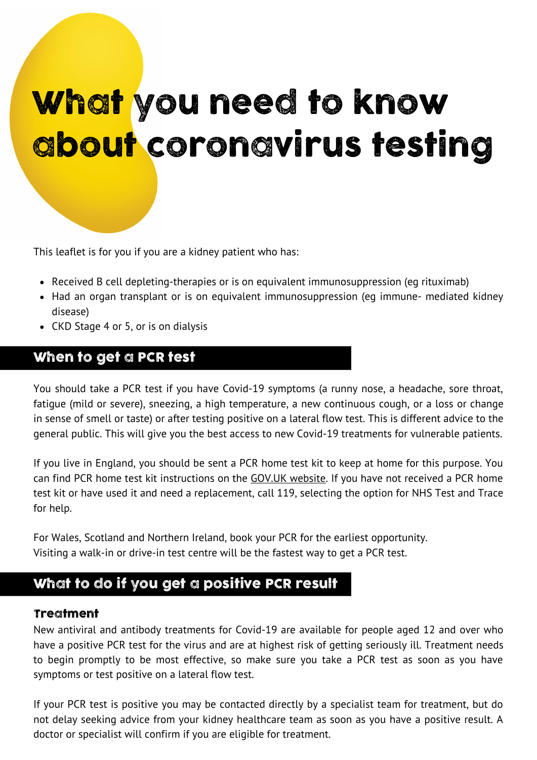# What you need to know about coronavirus testing

This leaflet is for you if you are a kidney patient who has:

- Received B cell depleting-therapies or is on equivalent immunosuppression (eg rituximab)
- Had an organ transplant or is on equivalent immunosuppression (eq immune- mediated kidney disease)
- CKD Stage 4 or 5, or is on dialysis

#### When to get a PCR test

You should take a PCR test if you have Covid-19 symptoms (a runny nose, a headache, sore throat, fatigue (mild or severe), sneezing, a high temperature, a new continuous cough, or a loss or change in sense of smell or taste) or after testing positive on a lateral flow test. This is different advice to the general public. This will give you the best access to new Covid-19 treatments for vulnerable patients.

If you live in England, you should be sent a PCR home test kit to keep at home for this purpose. You can find PCR home test kit instructions on the [GOV.UK](https://www.gov.uk/government/publications/pcr-home-testing-for-people-eligible-for-new-covid-19-treatments) website. If you have not received a PCR home test kit or have used it and need a replacement, call 119, selecting the option for NHS Test and Trace for help.

For Wales, Scotland and Northern Ireland, book your PCR for the earliest opportunity. Visiting a walk-in or drive-in test centre will be the fastest way to get a PCR test.

### What to do if you get a positive PCR result

#### **Treatment**

New antiviral and antibody treatments for Covid-19 are available for people aged 12 and over who have a positive PCR test for the virus and are at highest risk of getting seriously ill. Treatment needs to begin promptly to be most effective, so make sure you take a PCR test as soon as you have symptoms or test positive on a lateral flow test.

If your PCR test is positive you may be contacted directly by a specialist team for treatment, but do not delay seeking advice from your kidney healthcare team as soon as you have a positive result. A doctor or specialist will confirm if you are eligible for treatment.